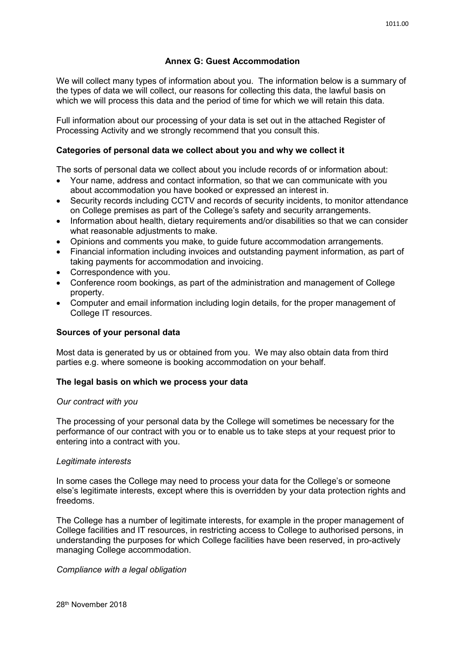# **Annex G: Guest Accommodation**

We will collect many types of information about you. The information below is a summary of the types of data we will collect, our reasons for collecting this data, the lawful basis on which we will process this data and the period of time for which we will retain this data.

Full information about our processing of your data is set out in the attached Register of Processing Activity and we strongly recommend that you consult this.

# **Categories of personal data we collect about you and why we collect it**

The sorts of personal data we collect about you include records of or information about:

- Your name, address and contact information, so that we can communicate with you about accommodation you have booked or expressed an interest in.
- Security records including CCTV and records of security incidents, to monitor attendance on College premises as part of the College's safety and security arrangements.
- Information about health, dietary requirements and/or disabilities so that we can consider what reasonable adjustments to make.
- Opinions and comments you make, to guide future accommodation arrangements.
- Financial information including invoices and outstanding payment information, as part of taking payments for accommodation and invoicing.
- Correspondence with you.
- Conference room bookings, as part of the administration and management of College property.
- Computer and email information including login details, for the proper management of College IT resources.

# **Sources of your personal data**

Most data is generated by us or obtained from you. We may also obtain data from third parties e.g. where someone is booking accommodation on your behalf.

#### **The legal basis on which we process your data**

#### *Our contract with you*

The processing of your personal data by the College will sometimes be necessary for the performance of our contract with you or to enable us to take steps at your request prior to entering into a contract with you.

#### *Legitimate interests*

In some cases the College may need to process your data for the College's or someone else's legitimate interests, except where this is overridden by your data protection rights and freedoms.

The College has a number of legitimate interests, for example in the proper management of College facilities and IT resources, in restricting access to College to authorised persons, in understanding the purposes for which College facilities have been reserved, in pro-actively managing College accommodation.

#### *Compliance with a legal obligation*